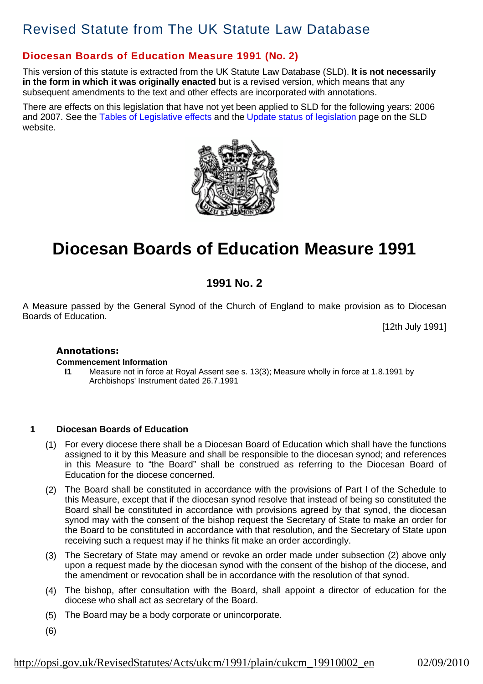# Revised Statute from The UK Statute Law Database

# **Diocesan Boards of Education Measure 1991 (No. 2)**

This version of this statute is extracted from the UK Statute Law Database (SLD). **It is not necessarily in the form in which it was originally enacted** but is a revised version, which means that any subsequent amendments to the text and other effects are incorporated with annotations.

There are effects on this legislation that have not yet been applied to SLD for the following years: 2006 and 2007. See the Tables of Legislative effects and the Update status of legislation page on the SLD website.



# **Diocesan Boards of Education Measure 1991**

# **1991 No. 2**

A Measure passed by the General Synod of the Church of England to make provision as to Diocesan Boards of Education.

[12th July 1991]

### **Annotations:**

### **Commencement Information**

**I1** Measure not in force at Royal Assent see s. 13(3); Measure wholly in force at 1.8.1991 by Archbishops' Instrument dated 26.7.1991

### **1 Diocesan Boards of Education**

- (1) For every diocese there shall be a Diocesan Board of Education which shall have the functions assigned to it by this Measure and shall be responsible to the diocesan synod; and references in this Measure to "the Board" shall be construed as referring to the Diocesan Board of Education for the diocese concerned.
- (2) The Board shall be constituted in accordance with the provisions of Part I of the Schedule to this Measure, except that if the diocesan synod resolve that instead of being so constituted the Board shall be constituted in accordance with provisions agreed by that synod, the diocesan synod may with the consent of the bishop request the Secretary of State to make an order for the Board to be constituted in accordance with that resolution, and the Secretary of State upon receiving such a request may if he thinks fit make an order accordingly.
- (3) The Secretary of State may amend or revoke an order made under subsection (2) above only upon a request made by the diocesan synod with the consent of the bishop of the diocese, and the amendment or revocation shall be in accordance with the resolution of that synod.
- (4) The bishop, after consultation with the Board, shall appoint a director of education for the diocese who shall act as secretary of the Board.
- (5) The Board may be a body corporate or unincorporate.
- (6)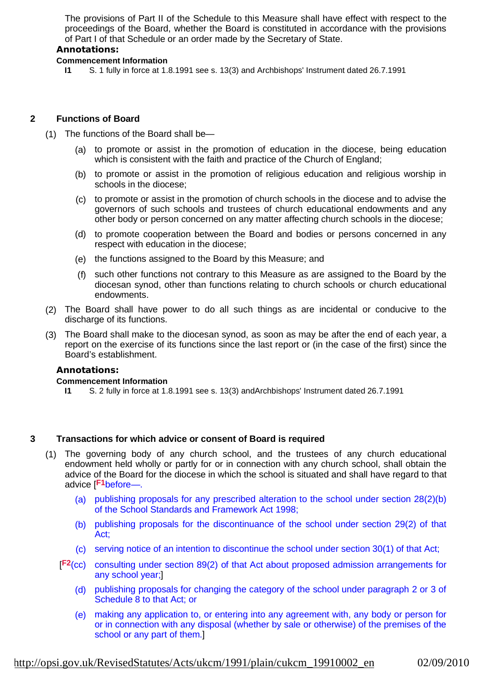The provisions of Part II of the Schedule to this Measure shall have effect with respect to the proceedings of the Board, whether the Board is constituted in accordance with the provisions of Part I of that Schedule or an order made by the Secretary of State.

# **Annotations:**

### **Commencement Information**

**I1** S. 1 fully in force at 1.8.1991 see s. 13(3) and Archbishops' Instrument dated 26.7.1991

# **2 Functions of Board**

- (1) The functions of the Board shall be—
	- (a) to promote or assist in the promotion of education in the diocese, being education which is consistent with the faith and practice of the Church of England;
	- (b) to promote or assist in the promotion of religious education and religious worship in schools in the diocese;
	- (c) to promote or assist in the promotion of church schools in the diocese and to advise the governors of such schools and trustees of church educational endowments and any other body or person concerned on any matter affecting church schools in the diocese;
	- (d) to promote cooperation between the Board and bodies or persons concerned in any respect with education in the diocese;
	- (e) the functions assigned to the Board by this Measure; and
	- (f) such other functions not contrary to this Measure as are assigned to the Board by the diocesan synod, other than functions relating to church schools or church educational endowments.
	- (2) The Board shall have power to do all such things as are incidental or conducive to the discharge of its functions.
	- (3) The Board shall make to the diocesan synod, as soon as may be after the end of each year, a report on the exercise of its functions since the last report or (in the case of the first) since the Board's establishment.

# **Annotations:**

### **Commencement Information**

**I1** S. 2 fully in force at 1.8.1991 see s. 13(3) andArchbishops' Instrument dated 26.7.1991

### **3 Transactions for which advice or consent of Board is required**

- (1) The governing body of any church school, and the trustees of any church educational endowment held wholly or partly for or in connection with any church school, shall obtain the advice of the Board for the diocese in which the school is situated and shall have regard to that advice [<sup>F1</sup>before—.
	- (a) publishing proposals for any prescribed alteration to the school under section 28(2)(b) of the School Standards and Framework Act 1998;
	- (b) publishing proposals for the discontinuance of the school under section 29(2) of that Act;
	- (c) serving notice of an intention to discontinue the school under section 30(1) of that Act;
	- [F<sup>2</sup>(cc) consulting under section 89(2) of that Act about proposed admission arrangements for any school year;]
		- (d) publishing proposals for changing the category of the school under paragraph 2 or 3 of Schedule 8 to that Act; or
		- (e) making any application to, or entering into any agreement with, any body or person for or in connection with any disposal (whether by sale or otherwise) of the premises of the school or any part of them.]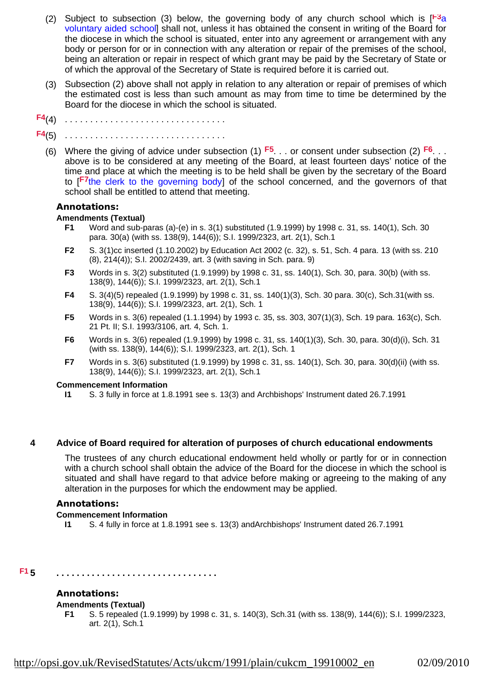- (2) Subject to subsection (3) below, the governing body of any church school which is  $[<sup>F3</sup>a]$ voluntary aided school] shall not, unless it has obtained the consent in writing of the Board for the diocese in which the school is situated, enter into any agreement or arrangement with any body or person for or in connection with any alteration or repair of the premises of the school, being an alteration or repair in respect of which grant may be paid by the Secretary of State or of which the approval of the Secretary of State is required before it is carried out.
- (3) Subsection (2) above shall not apply in relation to any alteration or repair of premises of which the estimated cost is less than such amount as may from time to time be determined by the Board for the diocese in which the school is situated.
- 
- (4) . . . . . . . . . . . . . . . . . . . . . . . . . . . . . . . . **F4**
- (5) . . . . . . . . . . . . . . . . . . . . . . . . . . . . . . . . **F4**
	- (6) Where the giving of advice under subsection (1)  $F5$ ... or consent under subsection (2)  $F6$ ... above is to be considered at any meeting of the Board, at least fourteen days' notice of the time and place at which the meeting is to be held shall be given by the secretary of the Board to [F7the clerk to the governing body] of the school concerned, and the governors of that school shall be entitled to attend that meeting.

### **Annotations:**

### **Amendments (Textual)**

- **F1** Word and sub-paras (a)-(e) in s. 3(1) substituted (1.9.1999) by 1998 c. 31, ss. 140(1), Sch. 30 para. 30(a) (with ss. 138(9), 144(6)); S.I. 1999/2323, art. 2(1), Sch.1
- **F2** S. 3(1)cc inserted (1.10.2002) by Education Act 2002 (c. 32), s. 51, Sch. 4 para. 13 (with ss. 210 (8), 214(4)); S.I. 2002/2439, art. 3 (with saving in Sch. para. 9)
- **F3** Words in s. 3(2) substituted (1.9.1999) by 1998 c. 31, ss. 140(1), Sch. 30, para. 30(b) (with ss. 138(9), 144(6)); S.I. 1999/2323, art. 2(1), Sch.1
- **F4** S. 3(4)(5) repealed (1.9.1999) by 1998 c. 31, ss. 140(1)(3), Sch. 30 para. 30(c), Sch.31(with ss. 138(9), 144(6)); S.I. 1999/2323, art. 2(1), Sch. 1
- **F5** Words in s. 3(6) repealed (1.1.1994) by 1993 c. 35, ss. 303, 307(1)(3), Sch. 19 para. 163(c), Sch. 21 Pt. II; S.I. 1993/3106, art. 4, Sch. 1.
- **F6** Words in s. 3(6) repealed (1.9.1999) by 1998 c. 31, ss. 140(1)(3), Sch. 30, para. 30(d)(i), Sch. 31 (with ss. 138(9), 144(6)); S.I. 1999/2323, art. 2(1), Sch. 1
- **F7** Words in s. 3(6) substituted (1.9.1999) by 1998 c. 31, ss. 140(1), Sch. 30, para. 30(d)(ii) (with ss. 138(9), 144(6)); S.I. 1999/2323, art. 2(1), Sch.1

### **Commencement Information**

**I1** S. 3 fully in force at 1.8.1991 see s. 13(3) and Archbishops' Instrument dated 26.7.1991

### **4 Advice of Board required for alteration of purposes of church educational endowments**

The trustees of any church educational endowment held wholly or partly for or in connection with a church school shall obtain the advice of the Board for the diocese in which the school is situated and shall have regard to that advice before making or agreeing to the making of any alteration in the purposes for which the endowment may be applied.

### **Annotations:**

### **Commencement Information**

**I1** S. 4 fully in force at 1.8.1991 see s. 13(3) andArchbishops' Instrument dated 26.7.1991

#### **5 . . . . . . . . . . . . . . . . . . . . . . . . . . . . . . . . F1**

### **Annotations:**

### **Amendments (Textual)**

**F1** S. 5 repealed (1.9.1999) by 1998 c. 31, s. 140(3), Sch.31 (with ss. 138(9), 144(6)); S.I. 1999/2323, art. 2(1), Sch.1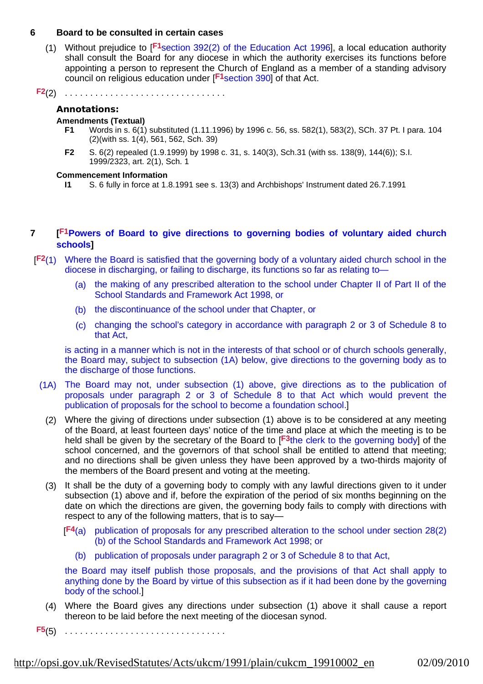### **6 Board to be consulted in certain cases**

(1) Without prejudice to  $[**F1** section 392(2)$  of the Education Act 1996], a local education authority shall consult the Board for any diocese in which the authority exercises its functions before appointing a person to represent the Church of England as a member of a standing advisory council on religious education under [<sup>F1</sup>section 390] of that Act.

(2) . . . . . . . . . . . . . . . . . . . . . . . . . . . . . . . . **F2**

### **Annotations:**

### **Amendments (Textual)**

- **F1** Words in s. 6(1) substituted (1.11.1996) by 1996 c. 56, ss. 582(1), 583(2), SCh. 37 Pt. I para. 104 (2)(with ss. 1(4), 561, 562, Sch. 39)
- **F2** S. 6(2) repealed (1.9.1999) by 1998 c. 31, s. 140(3), Sch.31 (with ss. 138(9), 144(6)); S.I. 1999/2323, art. 2(1), Sch. 1

### **Commencement Information**

**I1** S. 6 fully in force at 1.8.1991 see s. 13(3) and Archbishops' Instrument dated 26.7.1991

# **7 [ Powers of Board to give directions to governing bodies of voluntary aided church F1 schools]**

- [F<sup>2</sup>(1) Where the Board is satisfied that the governing body of a voluntary aided church school in the diocese in discharging, or failing to discharge, its functions so far as relating to—
	- (a) the making of any prescribed alteration to the school under Chapter II of Part II of the School Standards and Framework Act 1998, or
	- (b) the discontinuance of the school under that Chapter, or
	- (c) changing the school's category in accordance with paragraph 2 or 3 of Schedule 8 to that Act,

is acting in a manner which is not in the interests of that school or of church schools generally, the Board may, subject to subsection (1A) below, give directions to the governing body as to the discharge of those functions.

- (1A) The Board may not, under subsection (1) above, give directions as to the publication of proposals under paragraph 2 or 3 of Schedule 8 to that Act which would prevent the publication of proposals for the school to become a foundation school.]
	- (2) Where the giving of directions under subsection (1) above is to be considered at any meeting of the Board, at least fourteen days' notice of the time and place at which the meeting is to be held shall be given by the secretary of the Board to [<sup>F3</sup>the clerk to the governing body] of the school concerned, and the governors of that school shall be entitled to attend that meeting; and no directions shall be given unless they have been approved by a two-thirds majority of the members of the Board present and voting at the meeting.
	- (3) It shall be the duty of a governing body to comply with any lawful directions given to it under subsection (1) above and if, before the expiration of the period of six months beginning on the date on which the directions are given, the governing body fails to comply with directions with respect to any of the following matters, that is to say—
		- [F<sup>4</sup>(a) publication of proposals for any prescribed alteration to the school under section 28(2) (b) of the School Standards and Framework Act 1998; or
			- (b) publication of proposals under paragraph 2 or 3 of Schedule 8 to that Act,

the Board may itself publish those proposals, and the provisions of that Act shall apply to anything done by the Board by virtue of this subsection as if it had been done by the governing body of the school.]

- (4) Where the Board gives any directions under subsection (1) above it shall cause a report thereon to be laid before the next meeting of the diocesan synod.
- (5) . . . . . . . . . . . . . . . . . . . . . . . . . . . . . . . . **F5**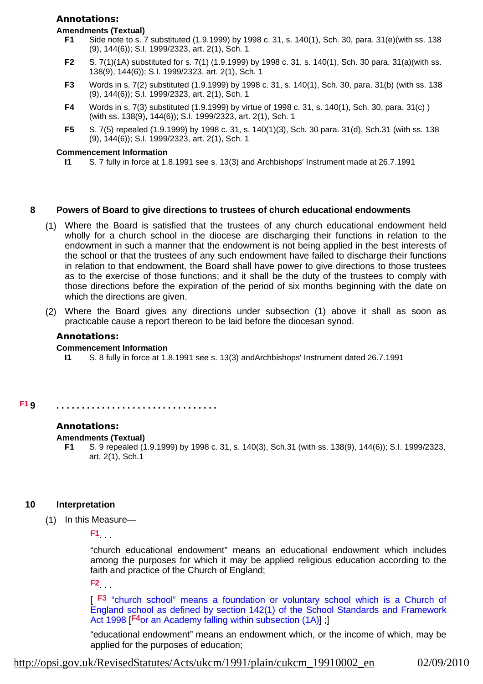### **Annotations:**

### **Amendments (Textual)**

- **F1** Side note to s. 7 substituted (1.9.1999) by 1998 c. 31, s. 140(1), Sch. 30, para. 31(e)(with ss. 138 (9), 144(6)); S.I. 1999/2323, art. 2(1), Sch. 1
- **F2** S. 7(1)(1A) substituted for s. 7(1) (1.9.1999) by 1998 c. 31, s. 140(1), Sch. 30 para. 31(a)(with ss. 138(9), 144(6)); S.I. 1999/2323, art. 2(1), Sch. 1
- **F3** Words in s. 7(2) substituted (1.9.1999) by 1998 c. 31, s. 140(1), Sch. 30, para. 31(b) (with ss. 138 (9), 144(6)); S.I. 1999/2323, art. 2(1), Sch. 1
- **F4** Words in s. 7(3) substituted (1.9.1999) by virtue of 1998 c. 31, s. 140(1), Sch. 30, para. 31(c) ) (with ss. 138(9), 144(6)); S.I. 1999/2323, art. 2(1), Sch. 1
- **F5** S. 7(5) repealed (1.9.1999) by 1998 c. 31, s. 140(1)(3), Sch. 30 para. 31(d), Sch.31 (with ss. 138 (9), 144(6)); S.I. 1999/2323, art. 2(1), Sch. 1

### **Commencement Information**

**I1** S. 7 fully in force at 1.8.1991 see s. 13(3) and Archbishops' Instrument made at 26.7.1991

### **8 Powers of Board to give directions to trustees of church educational endowments**

- (1) Where the Board is satisfied that the trustees of any church educational endowment held wholly for a church school in the diocese are discharging their functions in relation to the endowment in such a manner that the endowment is not being applied in the best interests of the school or that the trustees of any such endowment have failed to discharge their functions in relation to that endowment, the Board shall have power to give directions to those trustees as to the exercise of those functions; and it shall be the duty of the trustees to comply with those directions before the expiration of the period of six months beginning with the date on which the directions are given.
- (2) Where the Board gives any directions under subsection (1) above it shall as soon as practicable cause a report thereon to be laid before the diocesan synod.

### **Annotations:**

### **Commencement Information**

**I1** S. 8 fully in force at 1.8.1991 see s. 13(3) andArchbishops' Instrument dated 26.7.1991

**9 . . . . . . . . . . . . . . . . . . . . . . . . . . . . . . . . F1**

# **Annotations:**

### **Amendments (Textual)**

**F1** S. 9 repealed (1.9.1999) by 1998 c. 31, s. 140(3), Sch.31 (with ss. 138(9), 144(6)); S.I. 1999/2323, art. 2(1), Sch.1

### **10 Interpretation**

(1) In this Measure—

. . . **F1**

"church educational endowment" means an educational endowment which includes among the purposes for which it may be applied religious education according to the faith and practice of the Church of England;

. . . **F2**

[F3 "church school" means a foundation or voluntary school which is a Church of England school as defined by section 142(1) of the School Standards and Framework Act 1998 [F<sup>4</sup>or an Academy falling within subsection (1A)];

"educational endowment" means an endowment which, or the income of which, may be applied for the purposes of education;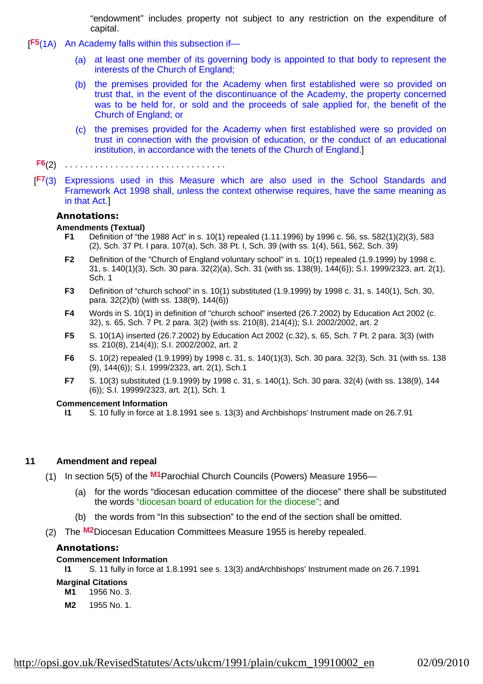"endowment" includes property not subject to any restriction on the expenditure of capital.

- [F<sub>5</sub>(1A) An Academy falls within this subsection if-
	- (a) at least one member of its governing body is appointed to that body to represent the interests of the Church of England;
	- (b) the premises provided for the Academy when first established were so provided on trust that, in the event of the discontinuance of the Academy, the property concerned was to be held for, or sold and the proceeds of sale applied for, the benefit of the Church of England; or
	- (c) the premises provided for the Academy when first established were so provided on trust in connection with the provision of education, or the conduct of an educational institution, in accordance with the tenets of the Church of England.]
	- (2) . . . . . . . . . . . . . . . . . . . . . . . . . . . . . . . . **F6**
	- [F7(3) Expressions used in this Measure which are also used in the School Standards and Framework Act 1998 shall, unless the context otherwise requires, have the same meaning as in that Act.]

### **Annotations:**

### **Amendments (Textual)**

- **F1** Definition of "the 1988 Act" in s. 10(1) repealed (1.11.1996) by 1996 c. 56, ss. 582(1)(2)(3), 583 (2), Sch. 37 Pt. I para. 107(a), Sch. 38 Pt. I, Sch. 39 (with ss. 1(4), 561, 562, Sch. 39)
- **F2** Definition of the "Church of England voluntary school" in s. 10(1) repealed (1.9.1999) by 1998 c. 31, s. 140(1)(3), Sch. 30 para. 32(2)(a), Sch. 31 (with ss. 138(9), 144(6)); S.I. 1999/2323, art. 2(1), Sch. 1
- **F3** Definition of "church school" in s. 10(1) substituted (1.9.1999) by 1998 c. 31, s. 140(1), Sch. 30, para. 32(2)(b) (with ss. 138(9), 144(6))
- **F4** Words in S. 10(1) in definition of "church school" inserted (26.7.2002) by Education Act 2002 (c. 32), s. 65, Sch. 7 Pt. 2 para. 3(2) (with ss. 210(8), 214(4)); S.I. 2002/2002, art. 2
- **F5** S. 10(1A) inserted (26.7.2002) by Education Act 2002 (c.32), s. 65, Sch. 7 Pt. 2 para. 3(3) (with ss. 210(8), 214(4)); S.I. 2002/2002, art. 2
- **F6** S. 10(2) repealed (1.9.1999) by 1998 c. 31, s. 140(1)(3), Sch. 30 para. 32(3), Sch. 31 (with ss. 138 (9), 144(6)); S.I. 1999/2323, art. 2(1), Sch.1
- **F7** S. 10(3) substituted (1.9.1999) by 1998 c. 31, s. 140(1), Sch. 30 para. 32(4) (with ss. 138(9), 144 (6)); S.I. 19999/2323, art. 2(1), Sch. 1

### **Commencement Information**

**I1** S. 10 fully in force at 1.8.1991 see s. 13(3) and Archbishops' Instrument made on 26.7.91

### **11 Amendment and repeal**

- (1) In section 5(5) of the M1Parochial Church Councils (Powers) Measure 1956-
	- (a) for the words "diocesan education committee of the diocese" there shall be substituted the words "diocesan board of education for the diocese"; and
	- (b) the words from "In this subsection" to the end of the section shall be omitted.
- (2) The M<sup>2</sup>Diocesan Education Committees Measure 1955 is hereby repealed.

### **Annotations:**

### **Commencement Information**

- **I1** S. 11 fully in force at 1.8.1991 see s. 13(3) andArchbishops' Instrument made on 26.7.1991
- **Marginal Citations**
	- **M1** 1956 No. 3.
	- **M2** 1955 No. 1.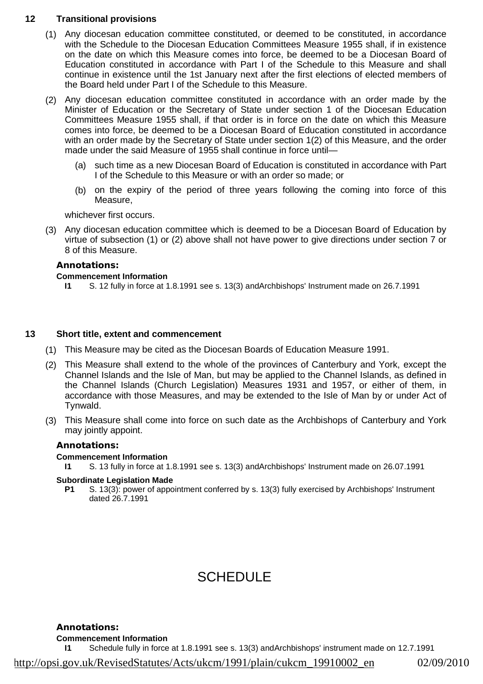# **12 Transitional provisions**

- (1) Any diocesan education committee constituted, or deemed to be constituted, in accordance with the Schedule to the Diocesan Education Committees Measure 1955 shall, if in existence on the date on which this Measure comes into force, be deemed to be a Diocesan Board of Education constituted in accordance with Part I of the Schedule to this Measure and shall continue in existence until the 1st January next after the first elections of elected members of the Board held under Part I of the Schedule to this Measure.
- (2) Any diocesan education committee constituted in accordance with an order made by the Minister of Education or the Secretary of State under section 1 of the Diocesan Education Committees Measure 1955 shall, if that order is in force on the date on which this Measure comes into force, be deemed to be a Diocesan Board of Education constituted in accordance with an order made by the Secretary of State under section 1(2) of this Measure, and the order made under the said Measure of 1955 shall continue in force until—
	- (a) such time as a new Diocesan Board of Education is constituted in accordance with Part I of the Schedule to this Measure or with an order so made; or
	- (b) on the expiry of the period of three years following the coming into force of this Measure,

whichever first occurs.

(3) Any diocesan education committee which is deemed to be a Diocesan Board of Education by virtue of subsection (1) or (2) above shall not have power to give directions under section 7 or 8 of this Measure.

### **Annotations:**

### **Commencement Information**

**I1** S. 12 fully in force at 1.8.1991 see s. 13(3) andArchbishops' Instrument made on 26.7.1991

### **13 Short title, extent and commencement**

- (1) This Measure may be cited as the Diocesan Boards of Education Measure 1991.
- (2) This Measure shall extend to the whole of the provinces of Canterbury and York, except the Channel Islands and the Isle of Man, but may be applied to the Channel Islands, as defined in the Channel Islands (Church Legislation) Measures 1931 and 1957, or either of them, in accordance with those Measures, and may be extended to the Isle of Man by or under Act of Tynwald.
- (3) This Measure shall come into force on such date as the Archbishops of Canterbury and York may jointly appoint.

### **Annotations:**

### **Commencement Information**

**I1** S. 13 fully in force at 1.8.1991 see s. 13(3) andArchbishops' Instrument made on 26.07.1991

### **Subordinate Legislation Made**

**P1** S. 13(3): power of appointment conferred by s. 13(3) fully exercised by Archbishops' Instrument dated 26.7.1991

# SCHEDULE

**Annotations: Commencement Information**

**I1** Schedule fully in force at 1.8.1991 see s. 13(3) andArchbishops' instrument made on 12.7.1991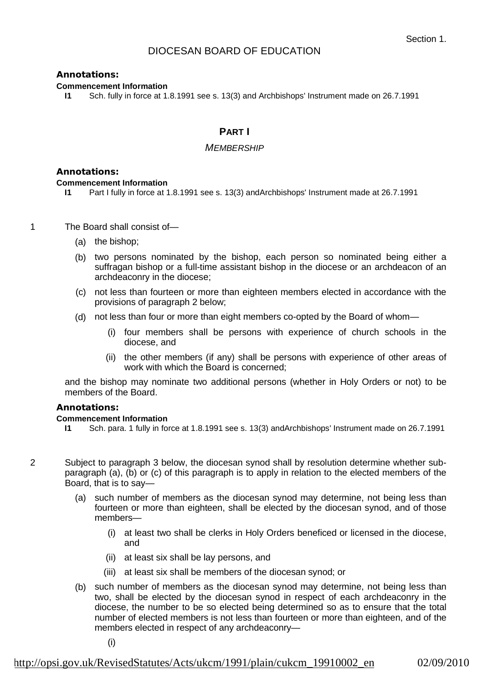# DIOCESAN BOARD OF EDUCATION

### **Annotations:**

### **Commencement Information**

**I1** Sch. fully in force at 1.8.1991 see s. 13(3) and Archbishops' Instrument made on 26.7.1991

# **PART I**

### *MEMBERSHIP*

### **Annotations:**

### **Commencement Information**

- **I1** Part I fully in force at 1.8.1991 see s. 13(3) andArchbishops' Instrument made at 26.7.1991
- 1 The Board shall consist of—
	- (a) the bishop;
	- (b) two persons nominated by the bishop, each person so nominated being either a suffragan bishop or a full-time assistant bishop in the diocese or an archdeacon of an archdeaconry in the diocese;
	- (c) not less than fourteen or more than eighteen members elected in accordance with the provisions of paragraph 2 below;
	- (d) not less than four or more than eight members co-opted by the Board of whom—
		- (i) four members shall be persons with experience of church schools in the diocese, and
		- (ii) the other members (if any) shall be persons with experience of other areas of work with which the Board is concerned;

and the bishop may nominate two additional persons (whether in Holy Orders or not) to be members of the Board.

### **Annotations:**

### **Commencement Information**

- **I1** Sch. para. 1 fully in force at 1.8.1991 see s. 13(3) andArchbishops' Instrument made on 26.7.1991
- 2 Subject to paragraph 3 below, the diocesan synod shall by resolution determine whether subparagraph (a), (b) or (c) of this paragraph is to apply in relation to the elected members of the Board, that is to say—
	- (a) such number of members as the diocesan synod may determine, not being less than fourteen or more than eighteen, shall be elected by the diocesan synod, and of those members—
		- (i) at least two shall be clerks in Holy Orders beneficed or licensed in the diocese, and
		- (ii) at least six shall be lay persons, and
		- (iii) at least six shall be members of the diocesan synod; or
	- (b) such number of members as the diocesan synod may determine, not being less than two, shall be elected by the diocesan synod in respect of each archdeaconry in the diocese, the number to be so elected being determined so as to ensure that the total number of elected members is not less than fourteen or more than eighteen, and of the members elected in respect of any archdeaconry—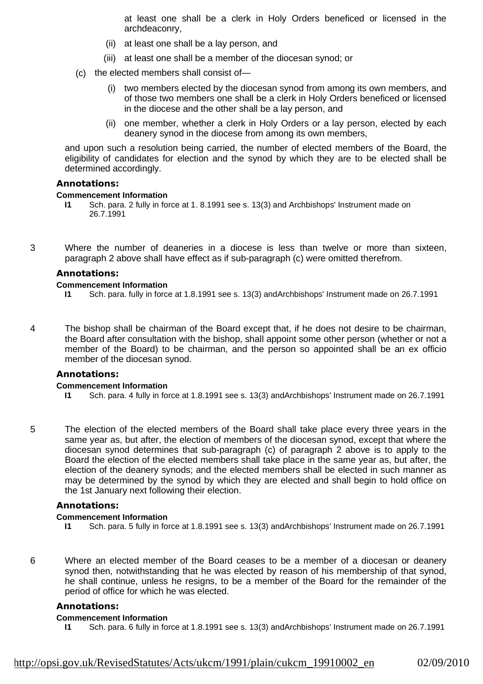at least one shall be a clerk in Holy Orders beneficed or licensed in the archdeaconry,

- (ii) at least one shall be a lay person, and
- (iii) at least one shall be a member of the diocesan synod; or
- (c) the elected members shall consist of—
	- (i) two members elected by the diocesan synod from among its own members, and of those two members one shall be a clerk in Holy Orders beneficed or licensed in the diocese and the other shall be a lay person, and
	- (ii) one member, whether a clerk in Holy Orders or a lay person, elected by each deanery synod in the diocese from among its own members,

and upon such a resolution being carried, the number of elected members of the Board, the eligibility of candidates for election and the synod by which they are to be elected shall be determined accordingly.

### **Annotations:**

### **Commencement Information**

- **I1** Sch. para. 2 fully in force at 1. 8.1991 see s. 13(3) and Archbishops' Instrument made on 26.7.1991
- 3 Where the number of deaneries in a diocese is less than twelve or more than sixteen, paragraph 2 above shall have effect as if sub-paragraph (c) were omitted therefrom.

### **Annotations:**

### **Commencement Information**

- **I1** Sch. para. fully in force at 1.8.1991 see s. 13(3) andArchbishops' Instrument made on 26.7.1991
- 4 The bishop shall be chairman of the Board except that, if he does not desire to be chairman, the Board after consultation with the bishop, shall appoint some other person (whether or not a member of the Board) to be chairman, and the person so appointed shall be an ex officio member of the diocesan synod.

# **Annotations:**

### **Commencement Information**

- **I1** Sch. para. 4 fully in force at 1.8.1991 see s. 13(3) andArchbishops' Instrument made on 26.7.1991
- 5 The election of the elected members of the Board shall take place every three years in the same year as, but after, the election of members of the diocesan synod, except that where the diocesan synod determines that sub-paragraph (c) of paragraph 2 above is to apply to the Board the election of the elected members shall take place in the same year as, but after, the election of the deanery synods; and the elected members shall be elected in such manner as may be determined by the synod by which they are elected and shall begin to hold office on the 1st January next following their election.

### **Annotations:**

### **Commencement Information**

- **I1** Sch. para. 5 fully in force at 1.8.1991 see s. 13(3) andArchbishops' Instrument made on 26.7.1991
- 6 Where an elected member of the Board ceases to be a member of a diocesan or deanery synod then, notwithstanding that he was elected by reason of his membership of that synod, he shall continue, unless he resigns, to be a member of the Board for the remainder of the period of office for which he was elected.

### **Annotations:**

### **Commencement Information**

**I1** Sch. para. 6 fully in force at 1.8.1991 see s. 13(3) andArchbishops' Instrument made on 26.7.1991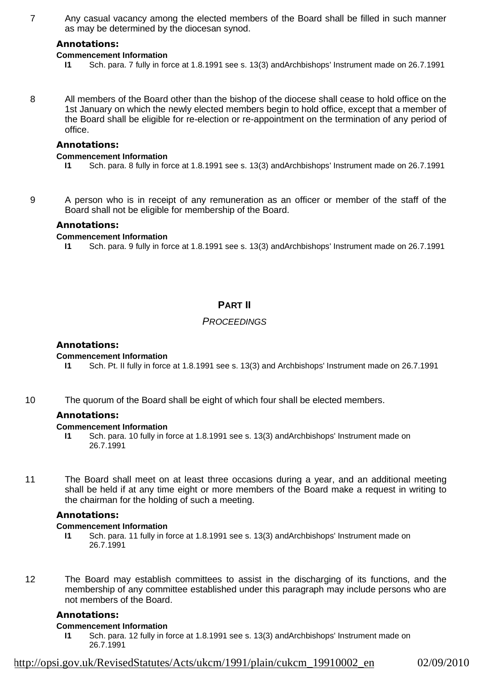7 Any casual vacancy among the elected members of the Board shall be filled in such manner as may be determined by the diocesan synod.

### **Annotations:**

### **Commencement Information**

- **I1** Sch. para. 7 fully in force at 1.8.1991 see s. 13(3) andArchbishops' Instrument made on 26.7.1991
- 8 All members of the Board other than the bishop of the diocese shall cease to hold office on the 1st January on which the newly elected members begin to hold office, except that a member of the Board shall be eligible for re-election or re-appointment on the termination of any period of office.

### **Annotations:**

### **Commencement Information**

- **I1** Sch. para. 8 fully in force at 1.8.1991 see s. 13(3) andArchbishops' Instrument made on 26.7.1991
- 

9 A person who is in receipt of any remuneration as an officer or member of the staff of the Board shall not be eligible for membership of the Board.

### **Annotations:**

### **Commencement Information**

**I1** Sch. para. 9 fully in force at 1.8.1991 see s. 13(3) andArchbishops' Instrument made on 26.7.1991

# **PART II**

# *PROCEEDINGS*

### **Annotations:**

### **Commencement Information**

- **I1** Sch. Pt. II fully in force at 1.8.1991 see s. 13(3) and Archbishops' Instrument made on 26.7.1991
- 10 The quorum of the Board shall be eight of which four shall be elected members.

### **Annotations:**

### **Commencement Information**

- **I1** Sch. para. 10 fully in force at 1.8.1991 see s. 13(3) andArchbishops' Instrument made on 26.7.1991
- 11 The Board shall meet on at least three occasions during a year, and an additional meeting shall be held if at any time eight or more members of the Board make a request in writing to the chairman for the holding of such a meeting.

### **Annotations:**

### **Commencement Information**

- **I1** Sch. para. 11 fully in force at 1.8.1991 see s. 13(3) andArchbishops' Instrument made on 26.7.1991
- 12 The Board may establish committees to assist in the discharging of its functions, and the membership of any committee established under this paragraph may include persons who are not members of the Board.

### **Annotations:**

### **Commencement Information**

**I1** Sch. para. 12 fully in force at 1.8.1991 see s. 13(3) andArchbishops' Instrument made on 26.7.1991